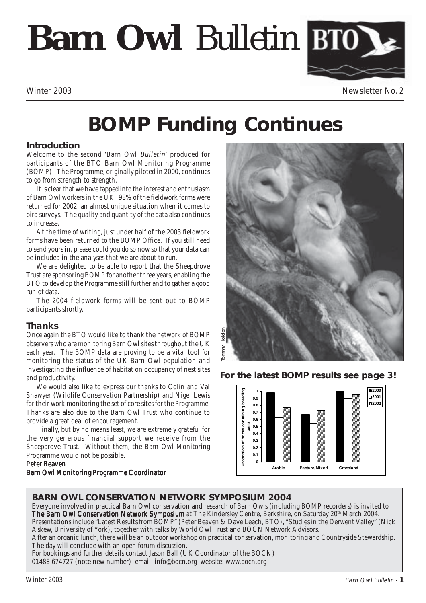# **Barn Owl** *Bulletin*



Winter 2003 Newsletter No. 2

## **BOMP Funding Continues**

#### **Introduction**

Welcome to the second 'Barn Owl Bulletin' produced for participants of the BTO Barn Owl Monitoring Programme (BOMP). The Programme, originally piloted in 2000, continues to go from strength to strength.

It is clear that we have tapped into the interest and enthusiasm of Barn Owl workers in the UK. 98% of the fieldwork forms were returned for 2002, an almost unique situation when it comes to bird surveys. The quality and quantity of the data also continues to increase.

At the time of writing, just under half of the 2003 fieldwork forms have been returned to the BOMP Office. If you still need to send yours in, please could you do so now so that your data can be included in the analyses that we are about to run.

We are delighted to be able to report that the Sheepdrove Trust are sponsoring BOMP for another three years, enabling the BTO to develop the Programme still further and to gather a good run of data.

The 2004 fieldwork forms will be sent out to BOMP participants shortly.

#### **Thanks**

Once again the BTO would like to thank the network of BOMP observers who are monitoring Barn Owl sites throughout the UK each year. The BOMP data are proving to be a vital tool for monitoring the status of the UK Barn Owl population and investigating the influence of habitat on occupancy of nest sites and productivity.

We would also like to express our thanks to Colin and Val Shawyer (Wildlife Conservation Partnership) and Nigel Lewis for their work monitoring the set of core sites for the Programme. Thanks are also due to the Barn Owl Trust who continue to provide a great deal of encouragement.

 Finally, but by no means least, we are extremely grateful for the very generous financial support we receive from the Sheepdrove Trust. Without them, the Barn Owl Monitoring Programme would not be possible.

#### Peter Beaven

Barn Owl Monitoring Programme Coordinator





### **BARN OWL CONSERVATION NETWORK SYMPOSIUM 2004**

Everyone involved in practical Barn Owl conservation and research of Barn Owls (including BOMP recorders) is invited to The Barn Owl Conservation Network Symposium at The Kindersley Centre, Berkshire, on Saturday 20<sup>th</sup> March 2004. Presentations include "Latest Results from BOMP" (Peter Beaven & Dave Leech, BTO), "Studies in the Derwent Valley" (Nick Askew, University of York), together with talks by World Owl Trust and BOCN Network Advisors.

After an organic lunch, there will be an outdoor workshop on practical conservation, monitoring and Countryside Stewardship. The day will conclude with an open forum discussion.

For bookings and further details contact Jason Ball (UK Coordinator of the BOCN)

01488 674727 (note new number) email: info@bocn.org website: www.bocn.org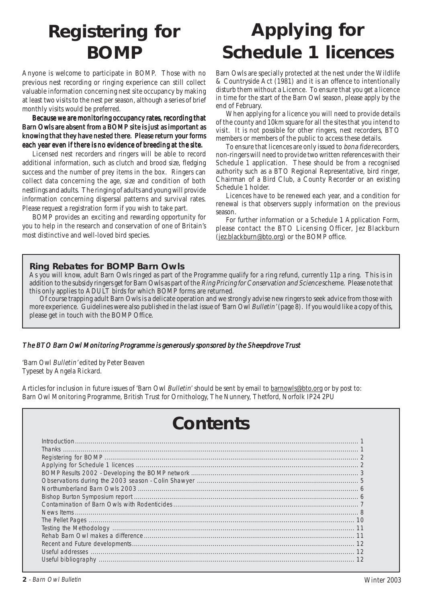### **Registering for BOMP**

Anyone is welcome to participate in BOMP. Those with no previous nest recording or ringing experience can still collect valuable information concerning nest site occupancy by making at least two visits to the nest per season, although a series of brief monthly visits would be preferred.

Because we are monitoring occupancy rates, recording that Barn Owls are absent from a BOMP site is just as important as knowing that they have nested there. Please return your forms each year even if there is no evidence of breeding at the site.

Licensed nest recorders and ringers will be able to record additional information, such as clutch and brood size, fledging success and the number of prey items in the box. Ringers can collect data concerning the age, size and condition of both nestlings and adults. The ringing of adults and young will provide information concerning dispersal patterns and survival rates. Please request a registration form if you wish to take part.

BOMP provides an exciting and rewarding opportunity for you to help in the research and conservation of one of Britain's most distinctive and well-loved bird species.

### **Applying for Schedule 1 licences**

Barn Owls are specially protected at the nest under the Wildlife & Countryside Act (1981) and it is an offence to intentionally disturb them without a Licence. To ensure that you get a licence in time for the start of the Barn Owl season, please apply by the end of February.

When applying for a licence you will need to provide details of the county and 10km square for all the sites that you intend to visit. It is not possible for other ringers, nest recorders, BTO members or members of the public to access these details.

To ensure that licences are only issued to bona fide recorders, non-ringers will need to provide two written references with their Schedule 1 application. These should be from a recognised authority such as a BTO Regional Representative, bird ringer, Chairman of a Bird Club, a County Recorder or an existing Schedule 1 holder.

Licences have to be renewed each year, and a condition for renewal is that observers supply information on the previous season.

For further information or a Schedule 1 Application Form, please contact the BTO Licensing Officer, Jez Blackburn (jez.blackburn@bto.org) or the BOMP office.

#### **Ring Rebates for BOMP Barn Owls**

As you will know, adult Barn Owls ringed as part of the Programme qualify for a ring refund, currently 11p a ring. This is in addition to the subsidy ringers get for Barn Owls as part of the *Ring Pricing for Conservation and Science* scheme. Please note that this only applies to ADULT birds for which BOMP forms are returned.

Of course trapping adult Barn Owls is a delicate operation and we strongly advise new ringers to seek advice from those with more experience. Guidelines were also published in the last issue of 'Barn Owl Bulletin' (page 8). If you would like a copy of this, please get in touch with the BOMP Office.

#### The BTO Barn Owl Monitoring Programme is generously sponsored by the Sheepdrove Trust

'Barn Owl Bulletin' edited by Peter Beaven Typeset by Angela Rickard.

Articles for inclusion in future issues of 'Barn Owl Bulletin' should be sent by email to barnowls@bto.org or by post to: Barn Owl Monitoring Programme, British Trust for Ornithology, The Nunnery, Thetford, Norfolk IP24 2PU

### **Contents**

| Introduction 1 |  |
|----------------|--|
|                |  |
|                |  |
|                |  |
|                |  |
|                |  |
|                |  |
|                |  |
|                |  |
|                |  |
|                |  |
|                |  |
|                |  |
|                |  |
|                |  |
|                |  |
|                |  |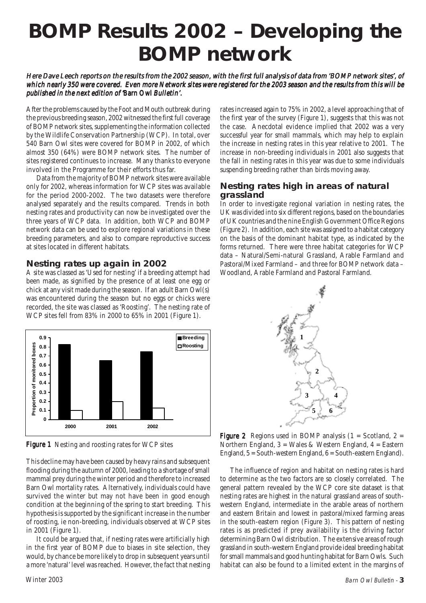### **BOMP Results 2002 – Developing the BOMP network**

#### Here Dave Leech reports on the results from the 2002 season, with the first full analysis of data from 'BOMP network sites', of which nearly 350 were covered. Even more Network sites were registered for the 2003 season and the results from this will be published in the next edition of 'Barn Owl Bulletin'.

After the problems caused by the Foot and Mouth outbreak during the previous breeding season, 2002 witnessed the first full coverage of BOMP network sites, supplementing the information collected by the Wildlife Conservation Partnership (WCP). In total, over 540 Barn Owl sites were covered for BOMP in 2002, of which almost 350 (64%) were BOMP network sites. The number of sites registered continues to increase. Many thanks to everyone involved in the Programme for their efforts thus far.

Data from the majority of BOMP network sites were available only for 2002, whereas information for WCP sites was available for the period 2000-2002. The two datasets were therefore analysed separately and the results compared. Trends in both nesting rates and productivity can now be investigated over the three years of WCP data. In addition, both WCP and BOMP network data can be used to explore regional variations in these breeding parameters, and also to compare reproductive success at sites located in different habitats.

#### **Nesting rates up again in 2002**

A site was classed as 'Used for nesting' if a breeding attempt had been made, as signified by the presence of at least one egg or chick at any visit made during the season. If an adult Barn Owl(s) was encountered during the season but no eggs or chicks were recorded, the site was classed as 'Roosting'. The nesting rate of WCP sites fell from 83% in 2000 to 65% in 2001 (Figure 1).



Figure 1 Nesting and roosting rates for WCP sites

This decline may have been caused by heavy rains and subsequent flooding during the autumn of 2000, leading to a shortage of small mammal prey during the winter period and therefore to increased Barn Owl mortality rates. Alternatively, individuals could have survived the winter but may not have been in good enough condition at the beginning of the spring to start breeding. This hypothesis is supported by the significant increase in the number of roosting, ie non-breeding, individuals observed at WCP sites in 2001 (Figure 1).

It could be argued that, if nesting rates were artificially high in the first year of BOMP due to biases in site selection, they would, by chance be more likely to drop in subsequent years until a more 'natural' level was reached. However, the fact that nesting

rates increased again to 75% in 2002, a level approaching that of the first year of the survey (Figure 1), suggests that this was not the case. Anecdotal evidence implied that 2002 was a very successful year for small mammals, which may help to explain the increase in nesting rates in this year relative to 2001. The increase in non-breeding individuals in 2001 also suggests that the fall in nesting rates in this year was due to some individuals suspending breeding rather than birds moving away.

#### **Nesting rates high in areas of natural grassland**

In order to investigate regional variation in nesting rates, the UK was divided into six different regions, based on the boundaries of UK countries and the nine English Government Office Regions (Figure 2). In addition, each site was assigned to a habitat category on the basis of the dominant habitat type, as indicated by the forms returned. There were three habitat categories for WCP data – Natural/Semi-natural Grassland, Arable Farmland and Pastoral/Mixed Farmland – and three for BOMP network data – Woodland, Arable Farmland and Pastoral Farmland.



**Figure 2** Regions used in BOMP analysis  $(1 = Scotland, 2 =$ Northern England,  $3$  = Wales & Western England,  $4$  = Eastern England, 5 = South-western England, 6 = South-eastern England).

The influence of region and habitat on nesting rates is hard to determine as the two factors are so closely correlated. The general pattern revealed by the WCP core site dataset is that nesting rates are highest in the natural grassland areas of southwestern England, intermediate in the arable areas of northern and eastern Britain and lowest in pastoral/mixed farming areas in the south-eastern region (Figure 3). This pattern of nesting rates is as predicted if prey availability is the driving factor determining Barn Owl distribution. The extensive areas of rough grassland in south-western England provide ideal breeding habitat for small mammals and good hunting habitat for Barn Owls. Such habitat can also be found to a limited extent in the margins of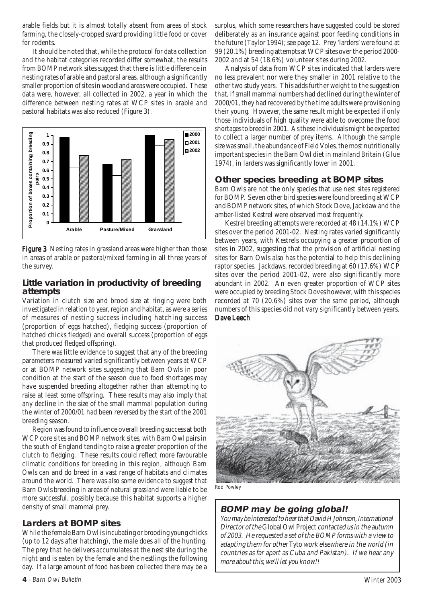arable fields but it is almost totally absent from areas of stock farming, the closely-cropped sward providing little food or cover for rodents.

It should be noted that, while the protocol for data collection and the habitat categories recorded differ somewhat, the results from BOMP network sites suggest that there is little difference in nesting rates of arable and pastoral areas, although a significantly smaller proportion of sites in woodland areas were occupied. These data were, however, all collected in 2002, a year in which the difference between nesting rates at WCP sites in arable and pastoral habitats was also reduced (Figure 3).



Figure 3 Nesting rates in grassland areas were higher than those in areas of arable or pastoral/mixed farming in all three years of the survey.

#### **Little variation in productivity of breeding attempts**

Variation in clutch size and brood size at ringing were both investigated in relation to year, region and habitat, as were a series of measures of nesting success including hatching success (proportion of eggs hatched), fledging success (proportion of hatched chicks fledged) and overall success (proportion of eggs that produced fledged offspring).

There was little evidence to suggest that any of the breeding parameters measured varied significantly between years at WCP or at BOMP network sites suggesting that Barn Owls in poor condition at the start of the season due to food shortages may have suspended breeding altogether rather than attempting to raise at least some offspring. These results may also imply that any decline in the size of the small mammal population during the winter of 2000/01 had been reversed by the start of the 2001 breeding season.

Region was found to influence overall breeding success at both WCP core sites and BOMP network sites, with Barn Owl pairs in the south of England tending to raise a greater proportion of the clutch to fledging. These results could reflect more favourable climatic conditions for breeding in this region, although Barn Owls can and do breed in a vast range of habitats and climates around the world. There was also some evidence to suggest that Barn Owls breeding in areas of natural grassland were liable to be more successful, possibly because this habitat supports a higher density of small mammal prey.

#### **Larders at BOMP sites**

While the female Barn Owl is incubating or brooding young chicks (up to 12 days after hatching), the male does all of the hunting. The prey that he delivers accumulates at the nest site during the night and is eaten by the female and the nestlings the following day. If a large amount of food has been collected there may be a

surplus, which some researchers have suggested could be stored deliberately as an insurance against poor feeding conditions in the future (Taylor 1994); see page 12. Prey 'larders' were found at 99 (20.1%) breeding attempts at WCP sites over the period 2000- 2002 and at 54 (18.6%) volunteer sites during 2002.

Analysis of data from WCP sites indicated that larders were no less prevalent nor were they smaller in 2001 relative to the other two study years. This adds further weight to the suggestion that, if small mammal numbers had declined during the winter of 2000/01, they had recovered by the time adults were provisioning their young. However, the same result might be expected if only those individuals of high quality were able to ovecome the food shortages to breed in 2001. As these individuals might be expected to collect a larger number of prey items. Although the sample size was small, the abundance of Field Voles, the most nutritionally important species in the Barn Owl diet in mainland Britain (Glue 1974), in larders was significantly lower in 2001.

#### **Other species breeding at BOMP sites**

Barn Owls are not the only species that use nest sites registered for BOMP. Seven other bird species were found breeding at WCP and BOMP network sites, of which Stock Dove, Jackdaw and the amber-listed Kestrel were observed most frequently.

Kestrel breeding attempts were recorded at 48 (14.1%) WCP sites over the period 2001-02. Nesting rates varied significantly between years, with Kestrels occupying a greater proportion of sites in 2002, suggesting that the provision of artificial nesting sites for Barn Owls also has the potential to help this declining raptor species. Jackdaws, recorded breeding at 60 (17.6%) WCP sites over the period 2001-02, were also significantly more abundant in 2002. An even greater proportion of WCP sites were occupied by breeding Stock Doves however, with this species recorded at 70 (20.6%) sites over the same period, although numbers of this species did not vary significantly between years. Dave Leech



#### **BOMP may be going global!**

You may be interested to hear that David H Johnson, International Director of the Global Owl Project contacted us in the autumn of 2003. He requested a set of the BOMP forms with a view to adapting them for other Tyto work elsewhere in the world (in countries as far apart as Cuba and Pakistan). If we hear any more about this, we'll let you know!!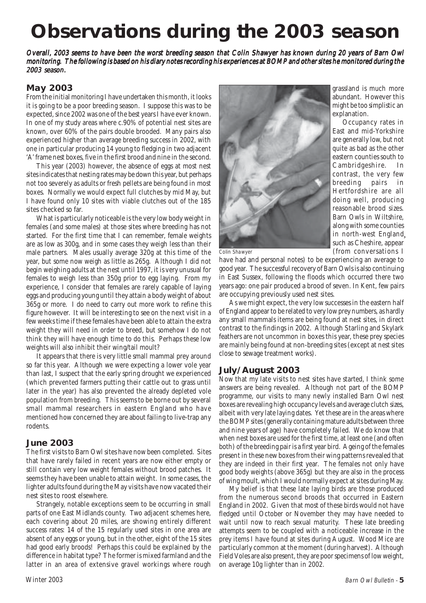## **Observations during the 2003 season**

Overall, 2003 seems to have been the worst breeding season that Colin Shawyer has known during 20 years of Barn Owl monitoring. The following is based on his diary notes recording his experiences at BOMP and other sites he monitored during the 2003 season.

#### **May 2003**

From the initial monitoring I have undertaken this month, it looks it is going to be a poor breeding season. I suppose this was to be expected, since 2002 was one of the best years I have ever known. In one of my study areas where c.90% of potential nest sites are known, over 60% of the pairs double brooded. Many pairs also experienced higher than average breeding success in 2002, with one in particular producing 14 young to fledging in two adjacent 'A' frame nest boxes, five in the first brood and nine in the second.

This year (2003) however, the absence of eggs at most nest sites indicates that nesting rates may be down this year, but perhaps not too severely as adults or fresh pellets are being found in most boxes. Normally we would expect full clutches by mid May, but I have found only 10 sites with viable clutches out of the 185 sites checked so far.

What is particularly noticeable is the very low body weight in females (and some males) at those sites where breeding has not started. For the first time that I can remember, female weights are as low as 300g, and in some cases they weigh less than their male partners. Males usually average 320g at this time of the year, but some now weigh as little as 265g. Although I did not begin weighing adults at the nest until 1997, it is very unusual for females to weigh less than 350g prior to egg laying. From my experience, I consider that females are rarely capable of laying eggs and producing young until they attain a body weight of about 365g or more. I do need to carry out more work to refine this figure however. It will be interesting to see on the next visit in a few weeks time if these females have been able to attain the extra weight they will need in order to breed, but somehow I do not think they will have enough time to do this. Perhaps these low weights will also inhibit their wing/tail moult?

It appears that there is very little small mammal prey around so far this year. Although we were expecting a lower vole year than last, I suspect that the early spring drought we experienced (which prevented farmers putting their cattle out to grass until later in the year) has also prevented the already depleted vole population from breeding. This seems to be borne out by several small mammal researchers in eastern England who have mentioned how concerned they are about failing to live-trap any rodents.

#### **June 2003**

The first visits to Barn Owl sites have now been completed. Sites that have rarely failed in recent years are now either empty or still contain very low weight females without brood patches. It seems they have been unable to attain weight. In some cases, the lighter adults found during the May visits have now vacated their nest sites to roost elsewhere.

Strangely, notable exceptions seem to be occurring in small parts of one East Midlands county. Two adjacent schemes here, each covering about 20 miles, are showing entirely different success rates: 14 of the 15 regularly used sites in one area are absent of any eggs or young, but in the other, eight of the 15 sites had good early broods! Perhaps this could be explained by the difference in habitat type? The former is mixed farmland and the latter in an area of extensive gravel workings where rough



grassland is much more abundant. However this might be too simplistic an explanation.

Occupancy rates in East and mid-Yorkshire are generally low, but not quite as bad as the other eastern counties south to Cambridgeshire. In contrast, the very few breeding pairs in Hertfordshire are all doing well, producing reasonable brood sizes. Barn Owls in Wiltshire, along with some counties in north-west England ,such as Cheshire, appear (from conversations I

Colin Shawyer

have had and personal notes) to be experiencing an average to good year. The successful recovery of Barn Owls is also continuing in East Sussex, following the floods which occurred there two years ago: one pair produced a brood of seven. In Kent, few pairs are occupying previously used nest sites.

As we might expect, the very low successes in the eastern half of England appear to be related to very low prey numbers, as hardly any small mammals items are being found at nest sites, in direct contrast to the findings in 2002. Although Starling and Skylark feathers are not uncommon in boxes this year, these prey species are mainly being found at non-breeding sites (except at nest sites close to sewage treatment works).

#### **July/August 2003**

Now that my late visits to nest sites have started, I think some answers are being revealed. Although not part of the BOMP programme, our visits to many newly installed Barn Owl nest boxes are revealing high occupancy levels and average clutch sizes, albeit with very late laying dates. Yet these are in the areas where the BOMP sites (generally containing mature adults between three and nine years of age) have completely failed. We do know that when nest boxes are used for the first time, at least one (and often both) of the breeding pair is a first year bird. Ageing of the females present in these new boxes from their wing patterns revealed that they are indeed in their first year. The females not only have good body weights (above 365g) but they are also in the process of wing moult, which I would normally expect at sites during May.

My belief is that these late laying birds are those produced from the numerous second broods that occurred in Eastern England in 2002. Given that most of these birds would not have fledged until October or November they may have needed to wait until now to reach sexual maturity. These late breeding attempts seem to be coupled with a noticeable increase in the prey items I have found at sites during August. Wood Mice are particularly common at the moment (during harvest). Although Field Voles are also present, they are poor specimens of low weight, on average 10g lighter than in 2002.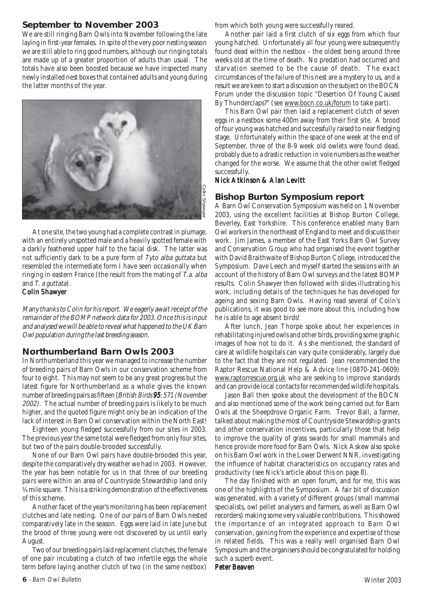#### **September to November 2003**

We are still ringing Barn Owls into November following the late laying in first-year females. In spite of the very poor nesting season we are still able to ring good numbers, although our ringing totals are made up of a greater proportion of adults than usual. The totals have also been boosted because we have inspected many newly installed nest boxes that contained adults and young during the latter months of the year.



At one site, the two young had a complete contrast in plumage, with an entirely unspotted male and a heavily spotted female with a darkly feathered upper half to the facial disk. The latter was not sufficiently dark to be a pure form of Tyto alba guttata but resembled the intermediate form I have seen occasionally when ringing in eastern France (the result from the mating of T.a. alba and T. a guttata).

#### Colin Shawyer

Many thanks to Colin for his report. We eagerly await receipt of the remainder of the BOMP network data for 2003. Once this is input and analysed we will be able to reveal what happened to the UK Barn Owl population during the last breeding season.

#### **Northumberland Barn Owls 2003**

In Northumberland this year we managed to increase the number of breeding pairs of Barn Owls in our conservation scheme from four to eight. This may not seem to be any great progress but the latest figure for Northumberland as a whole gives the known number of breeding pairs as fifteen [*British Birds* 95: 571 (*November* 2002). The actual number of breeding pairs is likely to be much higher, and the quoted figure might only be an indication of the lack of interest in Barn Owl conservation within the North East! At one site, the two young had a complete contrast in plunage,<br>
Set one site, the two young had a complete contrast in plunage,<br>
with an entirely unspotted male and a heavily spotted fermale with<br>
an entirely durate to be

Eighteen young fledged successfully from our sites in 2003. The previous year the same total were fledged from only four sites, but two of the pairs double-brooded successfully.

None of our Barn Owl pairs have double-brooded this year, despite the comparatively dry weather we had in 2003. However, the year has been notable for us in that three of our breeding pairs were within an area of Countryside Stewardship land only  $\frac{1}{4}$  mile square. This is a striking demonstration of the effectiveness of this scheme.

Another facet of the year's monitoring has been replacement clutches and late nesting. One of our pairs of Barn Owls nested comparatively late in the season. Eggs were laid in late June but the brood of three young were not discovered by us until early August.

Two of our breeding pairs laid replacement clutches, the female of one pair incubating a clutch of two infertile eggs the whole from which both young were successfully reared.

Another pair laid a first clutch of six eggs from which four young hatched. Unfortunately all four young were subsequently found dead within the nestbox - the oldest being around three weeks old at the time of death. No predation had occurred and starvation seemed to be the cause of death. The exact circumstances of the failure of this nest are a mystery to us, and a result we are keen to start a discussion on the subject on the BOCN Forum under the discussion topic "Desertion Of Young Caused By Thunderclaps?" (see www.bocn.co.uk/forum to take part).

This Barn Owl pair then laid a replacement clutch of seven eggs in a nestbox some 400m away from their first site. A brood of four young was hatched and successfully raised to near fledging stage. Unfortunately within the space of one week at the end of September, three of the 8-9 week old owlets were found dead, probably due to a drastic reduction in vole numbers as the weather changed for the worse. We assume that the other owlet fledged successfully.

#### Nick Atkinson & Alan Levitt

#### **Bishop Burton Symposium report**

A Barn Owl Conservation Symposium was held on 1 November 2003, using the excellent facilities at Bishop Burton College, Beverley, East Yorkshire. This conference enabled many Barn Owl workers in the northeast of England to meet and discuss their work. Jim James, a member of the East Yorks Barn Owl Survey and Conservation Group who had organised the event together with David Braithwaite of Bishop Burton College, introduced the Symposium. Dave Leech and myself started the sessions with an account of the history of Barn Owl surveys and the latest BOMP results. Colin Shawyer then followed with slides illustrating his work, including details of the techniques he has developed for ageing and sexing Barn Owls. Having read several of Colin's publications, it was good to see more about this, including how he is able to age absent birds!

After lunch, Jean Thorpe spoke about her experiences in rehabilitating injured owls and other birds, providing some graphic images of how not to do it. As she mentioned, the standard of care at wildlife hospitals can vary quite considerably, largely due to the fact that they are not regulated. Jean recommended the Raptor Rescue National Help & Advice line (0870-241-0609) www.raptorrescue.org.uk who are seeking to improve standards and can provide local contacts for recommended wildlife hospitals.

Jason Ball then spoke about the development of the BOCN and also mentioned some of the work being carried out for Barn Owls at the Sheepdrove Organic Farm. Trevor Ball, a farmer, talked about making the most of Countryside Stewardship grants and other conservation incentives, particularly those that help to improve the quality of grass swards for small mammals and hence provide more food for Barn Owls. Nick Askew also spoke on his Barn Owl work in the Lower Derwent NNR, investigating the influence of habitat characteristics on occupancy rates and productivity (see Nick's article about this on page 8).

The day finished with an open forum, and for me, this was one of the highlights of the Symposium. A fair bit of discussion was generated, with a variety of different groups (small mammal specialists, owl pellet analysers and farmers, as well as Barn Owl recorders) making some very valuable contributions. This showed the importance of an integrated approach to Barn Owl conservation, gaining from the experience and expertise of those in related fields. This was a really well organised Barn Owl Symposium and the organisers should be congratulated for holding such a superb event.

#### Peter Beaven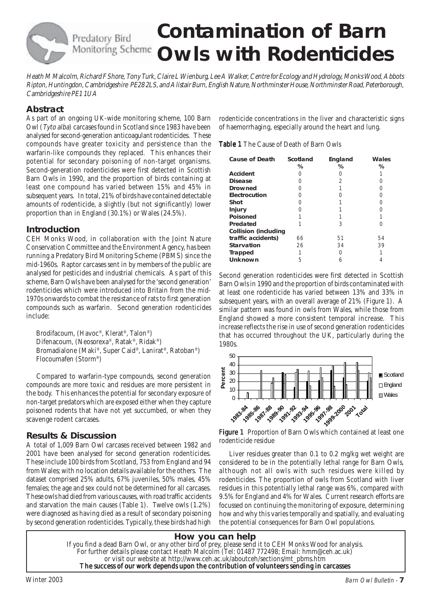## Predatory Bird

## **Contamination of Barn Monitoring Scheme Owls with Rodenticides**

Heath M Malcolm, Richard F Shore, Tony Turk, Claire L Wienburg, Lee A Walker, Centre for Ecology and Hydrology, Monks Wood, Abbots Ripton, Huntingdon, Cambridgeshire PE28 2LS, and Alistair Burn, English Nature, Northminster House, Northminster Road, Peterborough, Cambridgeshire PE1 1UA

#### **Abstract**

As part of an ongoing UK-wide monitoring scheme, 100 Barn Owl (Tyto alba) carcases found in Scotland since 1983 have been analysed for second-generation anticoagulant rodenticides. These compounds have greater toxicity and persistence than the warfarin-like compounds they replaced. This enhances their potential for secondary poisoning of non-target organisms. Second-generation rodenticides were first detected in Scottish Barn Owls in 1990, and the proportion of birds containing at least one compound has varied between 15% and 45% in subsequent years. In total, 21% of birds have contained detectable amounts of rodenticide, a slightly (but not significantly) lower proportion than in England (30.1%) or Wales (24.5%).

#### **Introduction**

CEH Monks Wood, in collaboration with the Joint Nature Conservation Committee and the Environment Agency, has been running a Predatory Bird Monitoring Scheme (PBMS) since the mid-1960s. Raptor carcases sent in by members of the public are analysed for pesticides and industrial chemicals. As part of this scheme, Barn Owls have been analysed for the 'second generation' rodenticides which were introduced into Britain from the mid-1970s onwards to combat the resistance of rats to first generation compounds such as warfarin. Second generation rodenticides include:

Brodifacoum, (Havoc®, Klerat®, Talon®) Difenacoum, (Neosorexa®, Ratak®, Ridak®) Bromadialone (Maki®, Super Caid®, Lanirat®, Ratoban®) Flocoumafen (Storm®)

Compared to warfarin-type compounds, second generation compounds are more toxic and residues are more persistent in the body. This enhances the potential for secondary exposure of non-target predators which are exposed either when they capture poisoned rodents that have not yet succumbed, or when they scavenge rodent carcases.

### **Results & Discussion**

A total of 1,009 Barn Owl carcases received between 1982 and 2001 have been analysed for second generation rodenticides. These include 100 birds from Scotland, 753 from England and 94 from Wales; with no location details available for the others. The dataset comprised 25% adults, 67% juveniles, 50% males, 45% females; the age and sex could not be determined for all carcases. These owls had died from various causes, with road traffic accidents and starvation the main causes (Table 1). Twelve owls (1.2%) were diagnosed as having died as a result of secondary poisoning by second generation rodenticides. Typically, these birds had high rodenticide concentrations in the liver and characteristic signs of haemorrhaging, especially around the heart and lung.

| <b>Cause of Death</b>       | Scotland<br>℅ | England<br>℅ | Wales<br>℅ |
|-----------------------------|---------------|--------------|------------|
| <b>Accident</b>             |               |              |            |
| <b>Disease</b>              | ∩             | 2            | Ω          |
| <b>Drowned</b>              | Ω             |              | Ω          |
| Electrocution               | ∩             | ( )          | Ω          |
| <b>Shot</b>                 | Ω             |              | Ω          |
| <b>Injury</b>               |               |              | ( )        |
| <b>Poisoned</b>             |               |              |            |
| Predated                    |               | 3            | ( )        |
| <b>Collision (including</b> |               |              |            |
| traffic accidents)          | 66            | 51           | 54         |
| <b>Starvation</b>           | 26            | 34           | 39         |
| <b>Trapped</b>              |               | 0            |            |
| <b>Unknown</b>              | 5             | 6            |            |

Second generation rodenticides were first detected in Scottish Barn Owls in 1990 and the proportion of birds contaminated with at least one rodenticide has varied between 13% and 33% in subsequent years, with an overall average of 21% (Figure 1). A similar pattern was found in owls from Wales, while those from England showed a more consistent temporal increase. This increase reflects the rise in use of second generation rodenticides that has occurred throughout the UK, particularly during the 1980s.





Liver residues greater than 0.1 to 0.2 mg/kg wet weight are considered to be in the potentially lethal range for Barn Owls, although not all owls with such residues were killed by rodenticides. The proportion of owls from Scotland with liver residues in this potentially lethal range was 6%, compared with 9.5% for England and 4% for Wales. Current research efforts are focussed on continuing the monitoring of exposure, determining how and why this varies temporally and spatially, and evaluating the potential consequences for Barn Owl populations.

#### **How you can help** If you find a dead Barn Owl, or any other bird of prey, please send it to CEH Monks Wood for analysis. For further details please contact Heath Malcolm (Tel: 01487 772498; Email: hmm@ceh.ac.uk) or visit our website at http://www.ceh.ac.uk/aboutceh/sections/mt\_pbms.htm The success of our work depends upon the contribution of volunteers sending in carcasses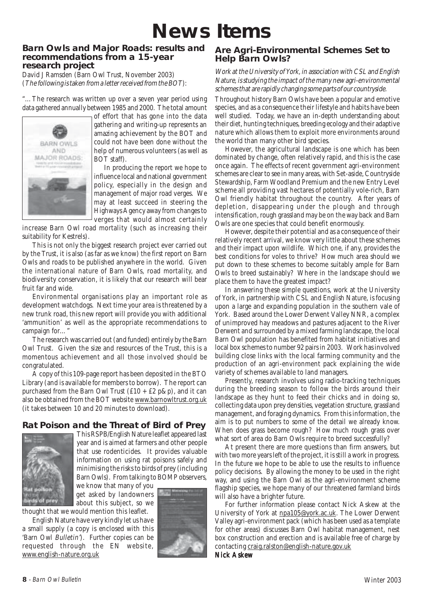### **News Items**

#### **Barn Owls and Major Roads: results and recommendations from a 15-year research project**

David J Ramsden (Barn Owl Trust, November 2003) (The following is taken from a letter received from the BOT):

"…The research was written up over a seven year period using data gathered annually between 1985 and 2000. The total amount



of effort that has gone into the data gathering and writing-up represents an amazing achievement by the BOT and could not have been done without the help of numerous volunteers (as well as BOT staff).

In producing the report we hope to influence local and national government policy, especially in the design and management of major road verges. We may at least succeed in steering the Highways Agency away from changes to verges that would almost certainly

increase Barn Owl road mortality (such as increasing their suitability for Kestrels).

This is not only the biggest research project ever carried out by the Trust, it is also (as far as we know) the first report on Barn Owls and roads to be published anywhere in the world. Given the international nature of Barn Owls, road mortality, and biodiversity conservation, it is likely that our research will bear fruit far and wide.

Environmental organisations play an important role as development watchdogs. Next time your area is threatened by a new trunk road, this new report will provide you with additional 'ammunition' as well as the appropriate recommendations to campaign for…"

The research was carried out (and funded) entirely by the Barn Owl Trust. Given the size and resources of the Trust, this is a momentous achievement and all those involved should be congratulated.

A copy of this 109-page report has been deposited in the BTO Library (and is available for members to borrow). The report can purchased from the Barn Owl Trust  $(f10 + f2 p\&p)$ , and it can also be obtained from the BOT website www.barnowltrust.org.uk (it takes between 10 and 20 minutes to download).

### **Rat Poison and the Threat of Bird of Prey**



This RSPB/English Nature leaflet appeared last year and is aimed at farmers and other people that use rodenticides. It provides valuable information on using rat poisons safely and minimising the risks to birds of prey (including Barn Owls). From talking to BOMP observers,

we know that many of you get asked by landowners about this subject, so we

thought that we would mention this leaflet.

English Nature have very kindly let us have a small supply (a copy is enclosed with this 'Barn Owl Bulletin'). Further copies can be requested through the EN website, www.english-nature.org.uk



#### **Are Agri-Environmental Schemes Set to Help Barn Owls?**

Work at the University of York, in association with CSL and English Nature, is studying the impact of the many new agri-environmental schemes that are rapidly changing some parts of our countryside.

Throughout history Barn Owls have been a popular and emotive species, and as a consequence their lifestyle and habits have been well studied. Today, we have an in-depth understanding about their diet, hunting techniques, breeding ecology and their adaptive nature which allows them to exploit more environments around the world than many other bird species.

However, the agricultural landscape is one which has been dominated by change, often relatively rapid, and this is the case once again. The effects of recent government agri-environment schemes are clear to see in many areas, with Set-aside, Countryside Stewardship, Farm Woodland Premium and the new Entry Level scheme all providing vast hectares of potentially vole-rich, Barn Owl friendly habitat throughout the country. After years of depletion, disappearing under the plough and through intensification, rough grassland may be on the way back and Barn Owls are one species that could benefit enormously.

However, despite their potential and as a consequence of their relatively recent arrival, we know very little about these schemes and their impact upon wildlife. Which one, if any, provides the best conditions for voles to thrive? How much area should we put down to these schemes to become suitably ample for Barn Owls to breed sustainably? Where in the landscape should we place them to have the greatest impact?

In answering these simple questions, work at the University of York, in partnership with CSL and English Nature, is focusing upon a large and expanding population in the southern vale of York. Based around the Lower Derwent Valley NNR, a complex of unimproved hay meadows and pastures adjacent to the River Derwent and surrounded by a mixed farming landscape, the local Barn Owl population has benefited from habitat initiatives and local box schemes to number 92 pairs in 2003. Work has involved building close links with the local farming community and the production of an agri-environment pack explaining the wide variety of schemes available to land managers.

Presently, research involves using radio-tracking techniques during the breeding season to follow the birds around their landscape as they hunt to feed their chicks and in doing so, collecting data upon prey densities, vegetation structure, grassland management, and foraging dynamics. From this information, the aim is to put numbers to some of the detail we already know. When does grass become rough? How much rough grass over what sort of area do Barn Owls require to breed successfully?

At present there are more questions than firm answers, but with two more years left of the project, it is still a work in progress. In the future we hope to be able to use the results to influence policy decisions. By allowing the money to be used in the right way, and using the Barn Owl as the agri-environment scheme flagship species, we hope many of our threatened farmland birds will also have a brighter future.

For further information please contact Nick Askew at the University of York at npa105@york.ac.uk. The Lower Derwent Valley agri-environment pack (which has been used as a template for other areas) discusses Barn Owl habitat management, nest box construction and erection and is available free of charge by contacting craig.ralston@english-nature.gov.uk

Nick Askew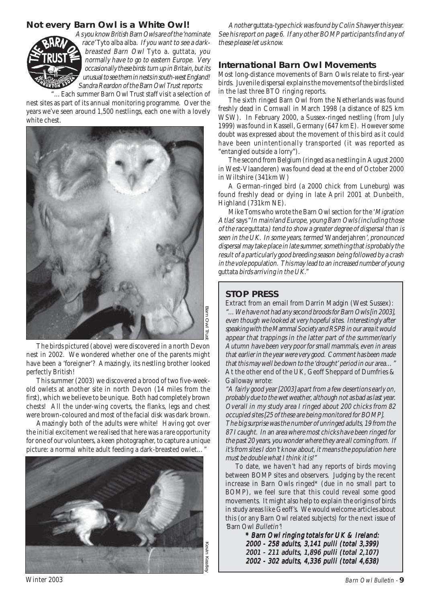#### **Not every Barn Owl is a White Owl!**



As you know British Barn Owls are of the 'nominate race' Tyto alba alba. If you want to see a darkbreasted Barn Owl Tyto a. guttata, you normally have to go to eastern Europe. Very occasionally these birds turn up in Britain, but its unusual to see them in nests in south-west England! Sandra Reardon of the Barn Owl Trust reports:

...Each summer Barn Owl Trust staff visit a selection of nest sites as part of its annual monitoring programme. Over the years we've seen around 1,500 nestlings, each one with a lovely white chest.



The birds pictured (above) were discovered in a north Devon nest in 2002. We wondered whether one of the parents might have been a 'foreigner'? Amazingly, its nestling brother looked perfectly British!

This summer (2003) we discovered a brood of two five-weekold owlets at another site in north Devon (14 miles from the first), which we believe to be unique. Both had completely brown chests! All the under-wing coverts, the flanks, legs and chest were brown-coloured and most of the facial disk was dark brown.

Amazingly both of the adults were white! Having got over the initial excitement we realised that here was a rare opportunity for one of our volunteers, a keen photographer, to capture a unique picture: a normal white adult feeding a dark-breasted owlet...'



Another guttata-type chick was found by Colin Shawyer this year. See his report on page 6. If any other BOMP participants find any of these please let us know.

#### **International Barn Owl Movements**

Most long-distance movements of Barn Owls relate to first-year birds. Juvenile dispersal explains the movements of the birds listed in the last three BTO ringing reports.

The sixth ringed Barn Owl from the Netherlands was found freshly dead in Cornwall in March 1998 (a distance of 825 km WSW). In February 2000, a Sussex-ringed nestling (from July 1999) was found in Kassell, Germany (647 km E). However some doubt was expressed about the movement of this bird as it could have been unintentionally transported (it was reported as "entangled outside a lorry").

The second from Belgium (ringed as a nestling in August 2000 in West-Vlaanderen) was found dead at the end of October 2000 in Wiltshire (341km W)

A German-ringed bird (a 2000 chick from Luneburg) was found freshly dead or dying in late April 2001 at Dunbeith, Highland (731km NE).

Mike Toms who wrote the Barn Owl section for the 'Migration Atlas' says "In mainland Europe, young Barn Owls (including those of the race guttata) tend to show a greater degree of dispersal than is seen in the UK. In some years, termed 'Wanderjahren', pronounced dispersal may take place in late summer, something that is probably the result of a particularly good breeding season being followed by a crash in the vole population. This may lead to an increased number of young guttata birds arriving in the UK."

#### **STOP PRESS**

Extract from an email from Darrin Madgin (West Sussex): "…We have not had any second broods for Barn Owls [in 2003], even though we looked at very hopeful sites. Interestingly after speaking with the Mammal Society and RSPB in our area it would appear that trappings in the latter part of the summer/early Autumn have been very poor for small mammals, even in areas that earlier in the year were very good. Comment has been made that this may well be down to the 'drought' period in our area…" At the other end of the UK, Geoff Sheppard of Dumfries & Galloway wrote:

"A fairly good year [2003] apart from a few desertions early on, probably due to the wet weather, although not as bad as last year. Overall in my study area I ringed about 200 chicks from 82 occupied sites [25 of these are being monitored for BOMP]. The big surprise was the number of unringed adults, 19 from the 87 I caught. In an area where most chicks have been ringed for the past 20 years, you wonder where they are all coming from. If it's from sites I don't know about, it means the population here must be double what I think it is!"

To date, we haven't had any reports of birds moving between BOMP sites and observers. Judging by the recent increase in Barn Owls ringed\* (due in no small part to BOMP), we feel sure that this could reveal some good movements. It might also help to explain the origins of birds in study areas like Geoff's. We would welcome articles about this (or any Barn Owl related subjects) for the next issue of 'Barn Owl Bulletin'!

> \* Barn Owl ringing totals for UK & Ireland: 2000 - 258 adults, 3,141 pulli (total 3,399) 2001 - 211 adults, 1,896 pulli (total 2,107) 2002 - 302 adults, 4,336 pulli (total 4,638)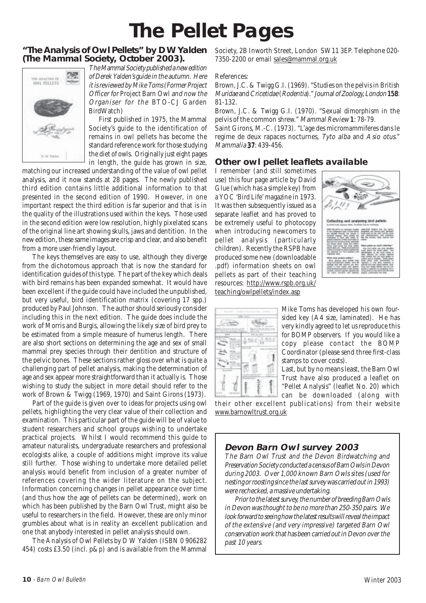### **The Pellet Pages**

#### **"The Analysis of Owl Pellets" by D W Yalden (The Mammal Society, October 2003).**



The Mammal Society published a new edition of Derek Yalden's guide in the autumn. Here it is reviewed by Mike Toms (Former Project Officer for Project Barn Owl and now the Organiser for the BTO-CJ Garden BirdWatch)

First published in 1975, the Mammal Society's guide to the identification of remains in owl pellets has become the standard reference work for those studying the diet of owls. Originally just eight pages in length, the guide has grown in size,

matching our increased understanding of the value of owl pellet analysis, and it now stands at 28 pages. The newly published third edition contains little additional information to that presented in the second edition of 1990. However, in one important respect the third edition is far superior and that is in the quality of the illustrations used within the keys. Those used in the second edition were low resolution, highly pixelated scans of the original line art showing skulls, jaws and dentition. In the new edition, these same images are crisp and clear, and also benefit from a more user-friendly layout.

The keys themselves are easy to use, although they diverge from the dichotomous approach that is now the standard for identification guides of this type. The part of the key which deals with bird remains has been expanded somewhat. It would have been excellent if the guide could have included the unpublished, but very useful, bird identification matrix (covering 17 spp.) produced by Paul Johnson. The author should seriously consider including this in the next edition. The guide does include the work of Morris and Burgis, allowing the likely size of bird prey to be estimated from a simple measure of humerus length. There are also short sections on determining the age and sex of small mammal prey species through their dentition and structure of the pelvic bones. These sections rather gloss over what is quite a challenging part of pellet analysis, making the determination of age and sex appear more straightforward than it actually is. Those wishing to study the subject in more detail should refer to the work of Brown & Twigg (1969, 1970) and Saint Girons (1973).

Part of the guide is given over to ideas for projects using owl pellets, highlighting the very clear value of their collection and examination. This particular part of the guide will be of value to student researchers and school groups wishing to undertake practical projects. Whilst I would recommend this guide to amateur naturalists, undergraduate researchers and professional ecologists alike, a couple of additions might improve its value still further. Those wishing to undertake more detailed pellet analysis would benefit from inclusion of a greater number of references covering the wider literature on the subject. Information concerning changes in pellet appearance over time (and thus how the age of pellets can be determined), work on which has been published by the Barn Owl Trust, might also be useful to researchers in the field. However, these are only minor grumbles about what is in reality an excellent publication and one that anybody interested in pellet analysis should own.

The Analysis of Owl Pellets by D W Yalden (ISBN 0 906282 454) costs £3.50 (incl. p&p) and is available from the Mammal Society, 2B Inworth Street, London SW11 3EP. Telephone 020- 7350-2200 or email sales@mammal.org.uk

#### References:

Brown, J.C. & Twigg G.I. (1969). "Studies on the pelvis in British Muridae and Cricetidae (Rodentia)." Journal of Zoology, London 158: 81-132.

Brown, J.C. & Twigg G.I. (1970). "Sexual dimorphism in the pelvis of the common shrew." Mammal Review 1: 78-79. 1

Saint Girons, M.-C. (1973). "L'age des micromammiferes dans le regime de deux rapaces nocturnes, Tyto alba and Asio otus." Mammalia 37: 439-456.

#### **Other owl pellet leaflets available**

I remember (and still sometimes use) this four page article by David Glue (which has a simple key) from a YOC 'Bird Life' magazine in 1973. It was then subsequently issued as a separate leaflet and has proved to be extremely useful to photocopy when introducing newcomers to pellet analysis (particularly children). Recently the RSPB have produced some new (downloadable .pdf) information sheets on owl pellets as part of their teaching resources: http://www.rspb.org.uk/ teaching/owlpellets/index.asp





Mike Toms has developed his own foursided key (A4 size, laminated). He has very kindly agreed to let us reproduce this for BOMP observers. If you would like a copy please contact the BOMP Coordinator (please send three first-class stamps to cover costs).

Last, but by no means least, the Barn Owl Trust have also produced a leaflet on "Pellet Analysis" (leaflet No. 20) which

can be downloaded (along with their other excellent publications) from their website www.barnowltrust.org.uk

#### **Devon Barn Owl survey 2003**

The Barn Owl Trust and the Devon Birdwatching and Preservation Society conducted a census of Barn Owls in Devon during 2003. Over 1,000 known Barn Owls sites (used for nesting or roosting since the last survey was carried out in 1993) were rechecked, a massive undertaking.

Prior to the latest survey, the number of breeding Barn Owls in Devon was thought to be no more than 250-350 pairs. We look forward to seeing how the latest results will reveal the impact of the extensive (and very impressive) targeted Barn Owl conservation work that has been carried out in Devon over the past 10 years.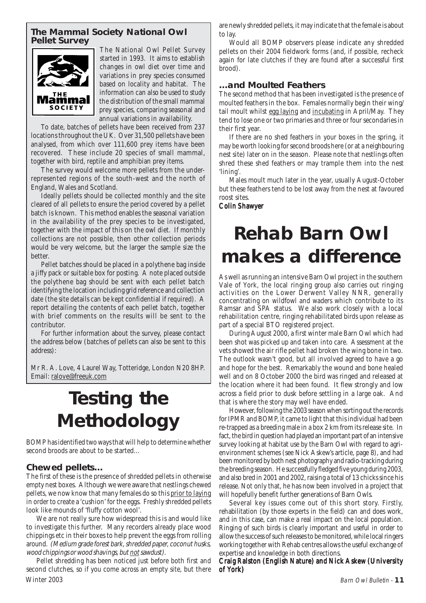#### **The Mammal Society National Owl Pellet Survey**



The National Owl Pellet Survey started in 1993. It aims to establish changes in owl diet over time and variations in prey species consumed based on locality and habitat. The information can also be used to study the distribution of the small mammal prey species, comparing seasonal and annual variations in availability.

To date, batches of pellets have been received from 237 locations throughout the UK. Over 31,500 pellets have been analysed, from which over 111,600 prey items have been recovered. These include 20 species of small mammal, together with bird, reptile and amphibian prey items.

The survey would welcome more pellets from the underrepresented regions of the south-west and the north of England, Wales and Scotland.

Ideally pellets should be collected monthly and the site cleared of all pellets to ensure the period covered by a pellet batch is known. This method enables the seasonal variation in the availability of the prey species to be investigated, together with the impact of this on the owl diet. If monthly collections are not possible, then other collection periods would be very welcome, but the larger the sample size the better.

Pellet batches should be placed in a polythene bag inside a jiffy pack or suitable box for posting. A note placed outside the polythene bag should be sent with each pellet batch identifying the location including grid reference and collection date (the site details can be kept confidential if required). A report detailing the contents of each pellet batch, together with brief comments on the results will be sent to the contributor.

For further information about the survey, please contact the address below (batches of pellets can also be sent to this address):

Mr R. A. Love, 4 Laurel Way, Totteridge, London N20 8HP. Email: ralove@freeuk.com

### **Testing the Methodology**

BOMP has identified two ways that will help to determine whether second broods are about to be started…

#### **Chewed pellets…**

The first of these is the presence of shredded pellets in otherwise empty nest boxes. Although we were aware that nestlings chewed pellets, we now know that many females do so this prior to laying in order to create a 'cushion' for the eggs. Freshly shredded pellets look like mounds of 'fluffy cotton wool'.

We are not really sure how widespread this is and would like to investigate this further. Many recorders already place wood chippings etc in their boxes to help prevent the eggs from rolling around. (Medium grade forest bark, shredded paper, coconut husks, wood chippings or wood shavings, but not sawdust).

Winter 2003 Barn Owl Bulletin - **11** Pellet shredding has been noticed just before both first and second clutches, so if you come across an empty site, but there

are newly shredded pellets, it may indicate that the female is about to lay.

Would all BOMP observers please indicate any shredded pellets on their 2004 fieldwork forms (and, if possible, recheck again for late clutches if they are found after a successful first brood).

#### **…and Moulted Feathers**

The second method that has been investigated is the presence of moulted feathers in the box. Females normally begin their wing/ tail moult whilst egg laying and incubating in April/May. They tend to lose one or two primaries and three or four secondaries in their first year.

If there are no shed feathers in your boxes in the spring, it may be worth looking for second broods here (or at a neighbouring nest site) later on in the season. Please note that nestlings often shred these shed feathers or may trample them into the nest 'lining'.

Males moult much later in the year, usually August-October but these feathers tend to be lost away from the nest at favoured roost sites.

#### Colin Shawyer

### **Rehab Barn Owl makes a difference**

As well as running an intensive Barn Owl project in the southern Vale of York, the local ringing group also carries out ringing activities on the Lower Derwent Valley NNR, generally concentrating on wildfowl and waders which contribute to its Ramsar and SPA status. We also work closely with a local rehabilitation centre, ringing rehabilitated birds upon release as part of a special BTO registered project.

During August 2000, a first winter male Barn Owl which had been shot was picked up and taken into care. Assessment at the vets showed the air rifle pellet had broken the wing bone in two. The outlook wasn't good, but all involved agreed to have a go and hope for the best. Remarkably the wound and bone healed well and on 8 October 2000 the bird was ringed and released at the location where it had been found. It flew strongly and low across a field prior to dusk before settling in a large oak. And that is where the story may well have ended.

However, following the 2003 season when sorting out the records for IPMR and BOMP, it came to light that this individual had been re-trapped as a breeding male in a box 2 km from its release site. In fact, the bird in question had played an important part of an intensive survey looking at habitat use by the Barn Owl with regard to agrienvironment schemes (see Nick Askew's article, page 8), and had been monitored by both nest photography and radio-tracking during the breeding season. He successfully fledged five young during 2003, and also bred in 2001 and 2002, raising a total of 13 chicks since his release. Not only that, he has now been involved in a project that will hopefully benefit further generations of Barn Owls.

Several key issues come out of this short story. Firstly, rehabilitation (by those experts in the field) can and does work, and in this case, can make a real impact on the local population. Ringing of such birds is clearly important and useful in order to allow the success of such releases to be monitored, while local ringers working together with Rehab centres allows the useful exchange of expertise and knowledge in both directions.

#### Craig Ralston (English Nature) and Nick Askew (University of York)